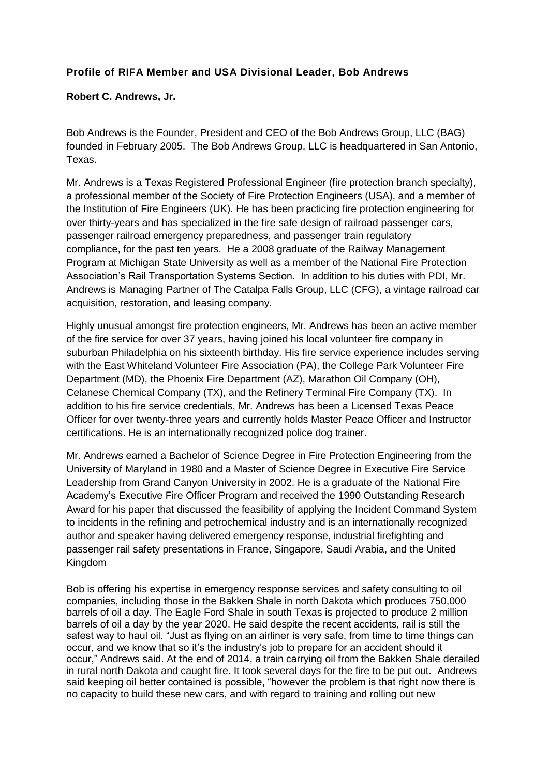## **Profile of RIFA Member and USA Divisional Leader, Bob Andrews**

## **Robert C. Andrews, Jr.**

Bob Andrews is the Founder, President and CEO of the Bob Andrews Group, LLC (BAG) founded in February 2005. The Bob Andrews Group, LLC is headquartered in San Antonio, Texas.

Mr. Andrews is a Texas Registered Professional Engineer (fire protection branch specialty), a professional member of the Society of Fire Protection Engineers (USA), and a member of the Institution of Fire Engineers (UK). He has been practicing fire protection engineering for over thirty-years and has specialized in the fire safe design of railroad passenger cars, passenger railroad emergency preparedness, and passenger train regulatory compliance, for the past ten years. He a 2008 graduate of the [Railway Management](http://raileducation.com/)  [Program](http://raileducation.com/) at Michigan State University as well as a member of the National Fire Protection Association's Rail Transportation Systems Section. In addition to his duties with PDI, Mr. Andrews is Managing Partner of [The Catalpa Falls Group, LLC](http://www.mybroadwaylimited.com/) (CFG), a vintage railroad car acquisition, restoration, and leasing company.

Highly unusual amongst fire protection engineers, Mr. Andrews has been an active member of the fire service for over 37 years, having joined his local volunteer fire company in suburban Philadelphia on his sixteenth birthday. His fire service experience includes serving with the [East Whiteland Volunteer Fire Association \(PA\),](http://www.eastwhitelandfire.com/) the [College Park Volunteer Fire](http://www.cpvfd.org/index.php)  [Department \(MD\),](http://www.cpvfd.org/index.php) the Phoenix Fire Department (AZ), Marathon Oil Company (OH), Celanese Chemical Company (TX), and the [Refinery Terminal Fire Company \(TX\).](http://www.rtfc.org/) In addition to his fire service credentials, Mr. Andrews has been a [Licensed Texas Peace](http://www.tcleose.state.tx.us/)  [Officer](http://www.tcleose.state.tx.us/) for over twenty-three years and currently holds Master Peace Officer and Instructor certifications. He is an internationally recognized police dog trainer.

Mr. Andrews earned a Bachelor of Science Degree in [Fire Protection Engineering](http://www.enfp.umd.edu/) from the University of Maryland in 1980 and a Master of Science Degree in [Executive Fire Service](http://my.gcu.edu/SiteCollectionDocuments/Catalog/colleges/business/graduate.htm)  [Leadership](http://my.gcu.edu/SiteCollectionDocuments/Catalog/colleges/business/graduate.htm) from Grand Canyon University in 2002. He is a graduate of the National Fire Academy's [Executive Fire Officer Program](http://www.usfa.dhs.gov/nfa/efop/) and received the 1990 Outstanding Research Award for his paper that discussed the feasibility of applying the Incident Command System to incidents in the refining and petrochemical industry and is an internationally recognized author and speaker having delivered emergency response, industrial firefighting and passenger rail safety presentations in France, Singapore, Saudi Arabia, and the United Kingdom

Bob is offering his expertise in emergency response services and safety consulting to oil companies, including those in the Bakken Shale in north Dakota which produces 750,000 barrels of oil a day. The Eagle Ford Shale in south Texas is projected to produce 2 million barrels of oil a day by the year 2020. He said despite the recent accidents, rail is still the safest way to haul oil. "Just as flying on an airliner is very safe, from time to time things can occur, and we know that so it's the industry's job to prepare for an accident should it occur," Andrews said. At the end of 2014, a train carrying oil from the Bakken Shale derailed in rural north Dakota and caught fire. It took several days for the fire to be put out. Andrews said keeping oil better contained is possible, "however the problem is that right now there is no capacity to build these new cars, and with regard to training and rolling out new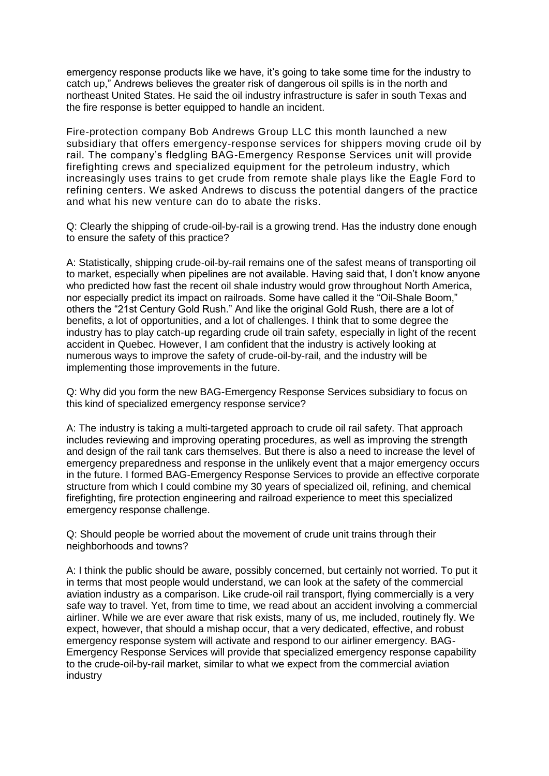emergency response products like we have, it's going to take some time for the industry to catch up," Andrews believes the greater risk of dangerous oil spills is in the north and northeast United States. He said the oil industry infrastructure is safer in south Texas and the fire response is better equipped to handle an incident.

Fire-protection company Bob Andrews Group LLC this month launched a new subsidiary that offers emergency-response services for shippers moving crude oil by rail. The company's fledgling BAG-Emergency Response Services unit will provide firefighting crews and specialized equipment for the petroleum industry, which increasingly uses trains to get crude from remote shale plays like the Eagle Ford to refining centers. We asked Andrews to discuss the potential dangers of the practice and what his new venture can do to abate the risks.

Q: Clearly the shipping of crude-oil-by-rail is a growing trend. Has the industry done enough to ensure the safety of this practice?

A: Statistically, shipping crude-oil-by-rail remains one of the safest means of transporting oil to market, especially when pipelines are not available. Having said that, I don't know anyone who predicted how fast the recent oil shale industry would grow throughout North America, nor especially predict its impact on railroads. Some have called it the "Oil-Shale Boom," others the "21st Century Gold Rush." And like the original Gold Rush, there are a lot of benefits, a lot of opportunities, and a lot of challenges. I think that to some degree the industry has to play catch-up regarding crude oil train safety, especially in light of the recent accident in Quebec. However, I am confident that the industry is actively looking at numerous ways to improve the safety of crude-oil-by-rail, and the industry will be implementing those improvements in the future.

Q: Why did you form the new BAG-Emergency Response Services subsidiary to focus on this kind of specialized emergency response service?

A: The industry is taking a multi-targeted approach to crude oil rail safety. That approach includes reviewing and improving operating procedures, as well as improving the strength and design of the rail tank cars themselves. But there is also a need to increase the level of emergency preparedness and response in the unlikely event that a major emergency occurs in the future. I formed BAG-Emergency Response Services to provide an effective corporate structure from which I could combine my 30 years of specialized oil, refining, and chemical firefighting, fire protection engineering and railroad experience to meet this specialized emergency response challenge.

Q: Should people be worried about the movement of crude unit trains through their neighborhoods and towns?

A: I think the public should be aware, possibly concerned, but certainly not worried. To put it in terms that most people would understand, we can look at the safety of the commercial aviation industry as a comparison. Like crude-oil rail transport, flying commercially is a very safe way to travel. Yet, from time to time, we read about an accident involving a commercial airliner. While we are ever aware that risk exists, many of us, me included, routinely fly. We expect, however, that should a mishap occur, that a very dedicated, effective, and robust emergency response system will activate and respond to our airliner emergency. BAG-Emergency Response Services will provide that specialized emergency response capability to the crude-oil-by-rail market, similar to what we expect from the commercial aviation industry